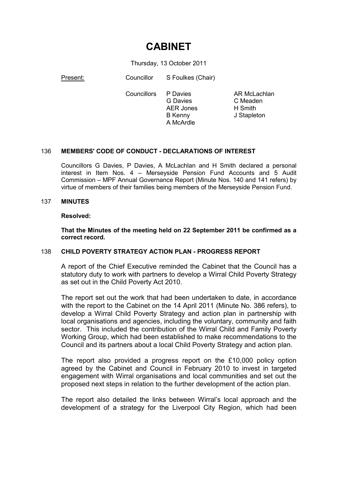# **CABINET**

Thursday, 13 October 2011

Present: Councillor S Foulkes (Chair)

Councillors P Davies

G Davies AER Jones B Kenny A McArdle

AR McLachlan C Meaden H Smith J Stapleton

# 136 **MEMBERS' CODE OF CONDUCT - DECLARATIONS OF INTEREST**

Councillors G Davies, P Davies, A McLachlan and H Smith declared a personal interest in Item Nos. 4 – Merseyside Pension Fund Accounts and 5 Audit Commission – MPF Annual Governance Report (Minute Nos. 140 and 141 refers) by virtue of members of their families being members of the Merseyside Pension Fund.

# 137 **MINUTES**

# **Resolved:**

**That the Minutes of the meeting held on 22 September 2011 be confirmed as a correct record.** 

# 138 **CHILD POVERTY STRATEGY ACTION PLAN - PROGRESS REPORT**

A report of the Chief Executive reminded the Cabinet that the Council has a statutory duty to work with partners to develop a Wirral Child Poverty Strategy as set out in the Child Poverty Act 2010.

The report set out the work that had been undertaken to date, in accordance with the report to the Cabinet on the 14 April 2011 (Minute No. 386 refers), to develop a Wirral Child Poverty Strategy and action plan in partnership with local organisations and agencies, including the voluntary, community and faith sector. This included the contribution of the Wirral Child and Family Poverty Working Group, which had been established to make recommendations to the Council and its partners about a local Child Poverty Strategy and action plan.

The report also provided a progress report on the £10,000 policy option agreed by the Cabinet and Council in February 2010 to invest in targeted engagement with Wirral organisations and local communities and set out the proposed next steps in relation to the further development of the action plan.

The report also detailed the links between Wirral's local approach and the development of a strategy for the Liverpool City Region, which had been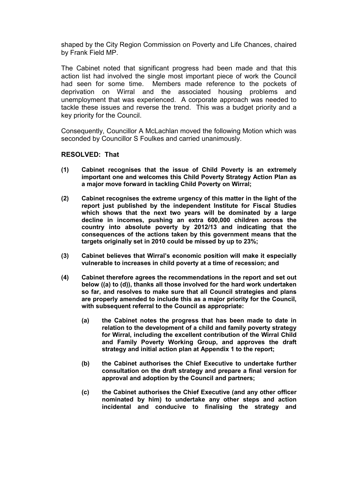shaped by the City Region Commission on Poverty and Life Chances, chaired by Frank Field MP.

The Cabinet noted that significant progress had been made and that this action list had involved the single most important piece of work the Council had seen for some time. Members made reference to the pockets of deprivation on Wirral and the associated housing problems and unemployment that was experienced. A corporate approach was needed to tackle these issues and reverse the trend. This was a budget priority and a key priority for the Council.

Consequently, Councillor A McLachlan moved the following Motion which was seconded by Councillor S Foulkes and carried unanimously.

- **(1) Cabinet recognises that the issue of Child Poverty is an extremely important one and welcomes this Child Poverty Strategy Action Plan as a major move forward in tackling Child Poverty on Wirral;**
- **(2) Cabinet recognises the extreme urgency of this matter in the light of the report just published by the independent Institute for Fiscal Studies which shows that the next two years will be dominated by a large decline in incomes, pushing an extra 600,000 children across the country into absolute poverty by 2012/13 and indicating that the consequences of the actions taken by this government means that the targets originally set in 2010 could be missed by up to 23%;**
- **(3) Cabinet believes that Wirral's economic position will make it especially vulnerable to increases in child poverty at a time of recession; and**
- **(4) Cabinet therefore agrees the recommendations in the report and set out below ((a) to (d)), thanks all those involved for the hard work undertaken so far, and resolves to make sure that all Council strategies and plans are properly amended to include this as a major priority for the Council, with subsequent referral to the Council as appropriate:** 
	- **(a) the Cabinet notes the progress that has been made to date in relation to the development of a child and family poverty strategy for Wirral, including the excellent contribution of the Wirral Child and Family Poverty Working Group, and approves the draft strategy and initial action plan at Appendix 1 to the report;**
	- **(b) the Cabinet authorises the Chief Executive to undertake further consultation on the draft strategy and prepare a final version for approval and adoption by the Council and partners;**
	- **(c) the Cabinet authorises the Chief Executive (and any other officer nominated by him) to undertake any other steps and action incidental and conducive to finalising the strategy and**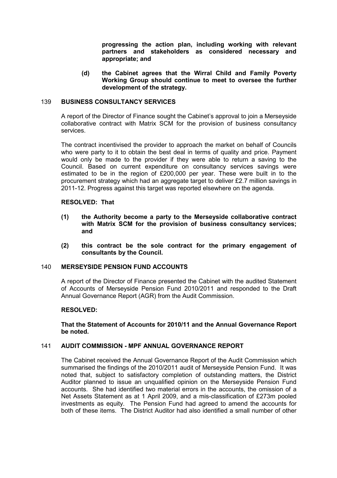**progressing the action plan, including working with relevant partners and stakeholders as considered necessary and appropriate; and** 

**(d) the Cabinet agrees that the Wirral Child and Family Poverty Working Group should continue to meet to oversee the further development of the strategy.** 

# 139 **BUSINESS CONSULTANCY SERVICES**

A report of the Director of Finance sought the Cabinet's approval to join a Merseyside collaborative contract with Matrix SCM for the provision of business consultancy services.

The contract incentivised the provider to approach the market on behalf of Councils who were party to it to obtain the best deal in terms of quality and price. Payment would only be made to the provider if they were able to return a saving to the Council. Based on current expenditure on consultancy services savings were estimated to be in the region of £200,000 per year. These were built in to the procurement strategy which had an aggregate target to deliver £2.7 million savings in 2011-12. Progress against this target was reported elsewhere on the agenda.

# **RESOLVED: That**

- **(1) the Authority become a party to the Merseyside collaborative contract with Matrix SCM for the provision of business consultancy services; and**
- **(2) this contract be the sole contract for the primary engagement of consultants by the Council.**

# 140 **MERSEYSIDE PENSION FUND ACCOUNTS**

A report of the Director of Finance presented the Cabinet with the audited Statement of Accounts of Merseyside Pension Fund 2010/2011 and responded to the Draft Annual Governance Report (AGR) from the Audit Commission.

# **RESOLVED:**

# **That the Statement of Accounts for 2010/11 and the Annual Governance Report be noted.**

# 141 **AUDIT COMMISSION - MPF ANNUAL GOVERNANCE REPORT**

The Cabinet received the Annual Governance Report of the Audit Commission which summarised the findings of the 2010/2011 audit of Merseyside Pension Fund. It was noted that, subject to satisfactory completion of outstanding matters, the District Auditor planned to issue an unqualified opinion on the Merseyside Pension Fund accounts. She had identified two material errors in the accounts, the omission of a Net Assets Statement as at 1 April 2009, and a mis-classification of £273m pooled investments as equity. The Pension Fund had agreed to amend the accounts for both of these items. The District Auditor had also identified a small number of other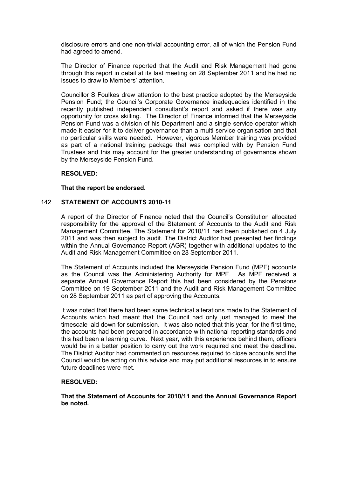disclosure errors and one non-trivial accounting error, all of which the Pension Fund had agreed to amend.

The Director of Finance reported that the Audit and Risk Management had gone through this report in detail at its last meeting on 28 September 2011 and he had no issues to draw to Members' attention.

Councillor S Foulkes drew attention to the best practice adopted by the Merseyside Pension Fund; the Council's Corporate Governance inadequacies identified in the recently published independent consultant's report and asked if there was any opportunity for cross skilling. The Director of Finance informed that the Merseyside Pension Fund was a division of his Department and a single service operator which made it easier for it to deliver governance than a multi service organisation and that no particular skills were needed. However, vigorous Member training was provided as part of a national training package that was complied with by Pension Fund Trustees and this may account for the greater understanding of governance shown by the Merseyside Pension Fund.

# **RESOLVED:**

# **That the report be endorsed.**

# 142 **STATEMENT OF ACCOUNTS 2010-11**

A report of the Director of Finance noted that the Council's Constitution allocated responsibility for the approval of the Statement of Accounts to the Audit and Risk Management Committee. The Statement for 2010/11 had been published on 4 July 2011 and was then subject to audit. The District Auditor had presented her findings within the Annual Governance Report (AGR) together with additional updates to the Audit and Risk Management Committee on 28 September 2011.

The Statement of Accounts included the Merseyside Pension Fund (MPF) accounts as the Council was the Administering Authority for MPF. As MPF received a separate Annual Governance Report this had been considered by the Pensions Committee on 19 September 2011 and the Audit and Risk Management Committee on 28 September 2011 as part of approving the Accounts.

It was noted that there had been some technical alterations made to the Statement of Accounts which had meant that the Council had only just managed to meet the timescale laid down for submission. It was also noted that this year, for the first time, the accounts had been prepared in accordance with national reporting standards and this had been a learning curve. Next year, with this experience behind them, officers would be in a better position to carry out the work required and meet the deadline. The District Auditor had commented on resources required to close accounts and the Council would be acting on this advice and may put additional resources in to ensure future deadlines were met.

# **RESOLVED:**

**That the Statement of Accounts for 2010/11 and the Annual Governance Report be noted.**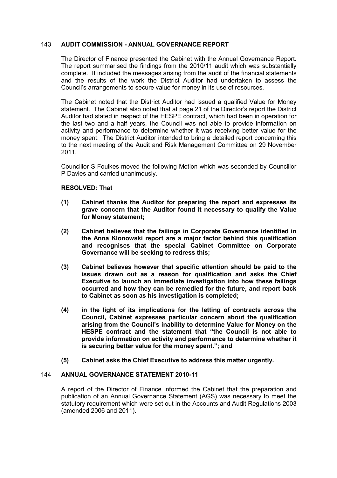# 143 **AUDIT COMMISSION - ANNUAL GOVERNANCE REPORT**

The Director of Finance presented the Cabinet with the Annual Governance Report. The report summarised the findings from the 2010/11 audit which was substantially complete. It included the messages arising from the audit of the financial statements and the results of the work the District Auditor had undertaken to assess the Council's arrangements to secure value for money in its use of resources.

The Cabinet noted that the District Auditor had issued a qualified Value for Money statement. The Cabinet also noted that at page 21 of the Director's report the District Auditor had stated in respect of the HESPE contract, which had been in operation for the last two and a half years, the Council was not able to provide information on activity and performance to determine whether it was receiving better value for the money spent. The District Auditor intended to bring a detailed report concerning this to the next meeting of the Audit and Risk Management Committee on 29 November 2011.

Councillor S Foulkes moved the following Motion which was seconded by Councillor P Davies and carried unanimously.

# **RESOLVED: That**

- **(1) Cabinet thanks the Auditor for preparing the report and expresses its grave concern that the Auditor found it necessary to qualify the Value for Money statement;**
- **(2) Cabinet believes that the failings in Corporate Governance identified in the Anna Klonowski report are a major factor behind this qualification and recognises that the special Cabinet Committee on Corporate Governance will be seeking to redress this;**
- **(3) Cabinet believes however that specific attention should be paid to the issues drawn out as a reason for qualification and asks the Chief Executive to launch an immediate investigation into how these failings occurred and how they can be remedied for the future, and report back to Cabinet as soon as his investigation is completed;**
- **(4) in the light of its implications for the letting of contracts across the Council, Cabinet expresses particular concern about the qualification arising from the Council's inability to determine Value for Money on the HESPE contract and the statement that "the Council is not able to provide information on activity and performance to determine whether it is securing better value for the money spent."; and**
- **(5) Cabinet asks the Chief Executive to address this matter urgently.**

# 144 **ANNUAL GOVERNANCE STATEMENT 2010-11**

A report of the Director of Finance informed the Cabinet that the preparation and publication of an Annual Governance Statement (AGS) was necessary to meet the statutory requirement which were set out in the Accounts and Audit Regulations 2003 (amended 2006 and 2011).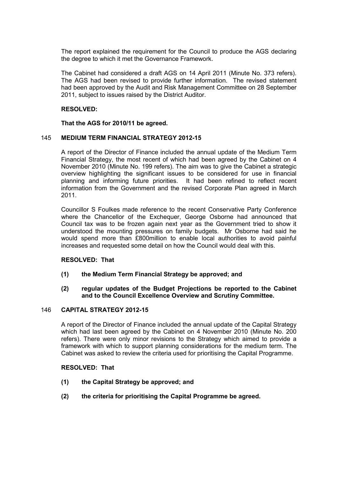The report explained the requirement for the Council to produce the AGS declaring the degree to which it met the Governance Framework.

The Cabinet had considered a draft AGS on 14 April 2011 (Minute No. 373 refers). The AGS had been revised to provide further information. The revised statement had been approved by the Audit and Risk Management Committee on 28 September 2011, subject to issues raised by the District Auditor.

# **RESOLVED:**

**That the AGS for 2010/11 be agreed.** 

# 145 **MEDIUM TERM FINANCIAL STRATEGY 2012-15**

A report of the Director of Finance included the annual update of the Medium Term Financial Strategy, the most recent of which had been agreed by the Cabinet on 4 November 2010 (Minute No. 199 refers). The aim was to give the Cabinet a strategic overview highlighting the significant issues to be considered for use in financial planning and informing future priorities. It had been refined to reflect recent information from the Government and the revised Corporate Plan agreed in March 2011.

Councillor S Foulkes made reference to the recent Conservative Party Conference where the Chancellor of the Exchequer, George Osborne had announced that Council tax was to be frozen again next year as the Government tried to show it understood the mounting pressures on family budgets. Mr Osborne had said he would spend more than £800million to enable local authorities to avoid painful increases and requested some detail on how the Council would deal with this.

#### **RESOLVED: That**

# **(1) the Medium Term Financial Strategy be approved; and**

# **(2) regular updates of the Budget Projections be reported to the Cabinet and to the Council Excellence Overview and Scrutiny Committee.**

# 146 **CAPITAL STRATEGY 2012-15**

A report of the Director of Finance included the annual update of the Capital Strategy which had last been agreed by the Cabinet on 4 November 2010 (Minute No. 200 refers). There were only minor revisions to the Strategy which aimed to provide a framework with which to support planning considerations for the medium term. The Cabinet was asked to review the criteria used for prioritising the Capital Programme.

- **(1) the Capital Strategy be approved; and**
- **(2) the criteria for prioritising the Capital Programme be agreed.**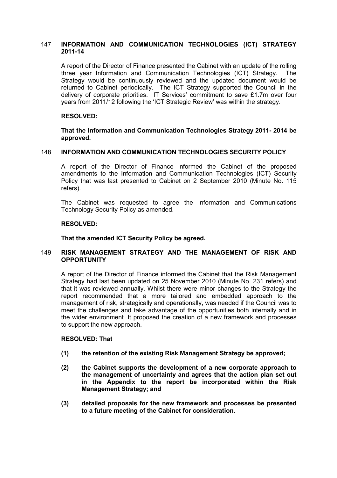# 147 **INFORMATION AND COMMUNICATION TECHNOLOGIES (ICT) STRATEGY 2011-14**

A report of the Director of Finance presented the Cabinet with an update of the rolling three year Information and Communication Technologies (ICT) Strategy. The Strategy would be continuously reviewed and the updated document would be returned to Cabinet periodically. The ICT Strategy supported the Council in the delivery of corporate priorities. IT Services' commitment to save £1.7m over four years from 2011/12 following the 'ICT Strategic Review' was within the strategy.

# **RESOLVED:**

**That the Information and Communication Technologies Strategy 2011- 2014 be approved.** 

## 148 **INFORMATION AND COMMUNICATION TECHNOLOGIES SECURITY POLICY**

A report of the Director of Finance informed the Cabinet of the proposed amendments to the Information and Communication Technologies (ICT) Security Policy that was last presented to Cabinet on 2 September 2010 (Minute No. 115 refers).

The Cabinet was requested to agree the Information and Communications Technology Security Policy as amended.

# **RESOLVED:**

**That the amended ICT Security Policy be agreed.** 

# 149 **RISK MANAGEMENT STRATEGY AND THE MANAGEMENT OF RISK AND OPPORTUNITY**

A report of the Director of Finance informed the Cabinet that the Risk Management Strategy had last been updated on 25 November 2010 (Minute No. 231 refers) and that it was reviewed annually. Whilst there were minor changes to the Strategy the report recommended that a more tailored and embedded approach to the management of risk, strategically and operationally, was needed if the Council was to meet the challenges and take advantage of the opportunities both internally and in the wider environment. It proposed the creation of a new framework and processes to support the new approach.

- **(1) the retention of the existing Risk Management Strategy be approved;**
- **(2) the Cabinet supports the development of a new corporate approach to the management of uncertainty and agrees that the action plan set out in the Appendix to the report be incorporated within the Risk Management Strategy; and**
- **(3) detailed proposals for the new framework and processes be presented to a future meeting of the Cabinet for consideration.**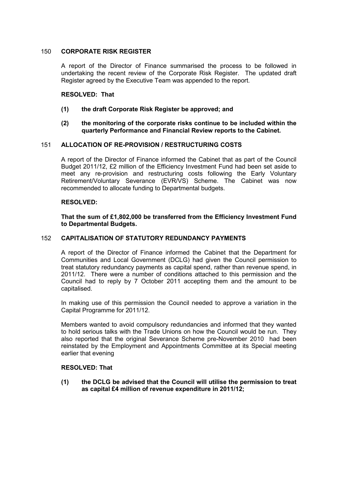# 150 **CORPORATE RISK REGISTER**

A report of the Director of Finance summarised the process to be followed in undertaking the recent review of the Corporate Risk Register. The updated draft Register agreed by the Executive Team was appended to the report.

# **RESOLVED: That**

**(1) the draft Corporate Risk Register be approved; and** 

# **(2) the monitoring of the corporate risks continue to be included within the quarterly Performance and Financial Review reports to the Cabinet.**

# 151 **ALLOCATION OF RE-PROVISION / RESTRUCTURING COSTS**

A report of the Director of Finance informed the Cabinet that as part of the Council Budget 2011/12, £2 million of the Efficiency Investment Fund had been set aside to meet any re-provision and restructuring costs following the Early Voluntary Retirement/Voluntary Severance (EVR/VS) Scheme. The Cabinet was now recommended to allocate funding to Departmental budgets.

#### **RESOLVED:**

**That the sum of £1,802,000 be transferred from the Efficiency Investment Fund to Departmental Budgets.** 

#### 152 **CAPITALISATION OF STATUTORY REDUNDANCY PAYMENTS**

A report of the Director of Finance informed the Cabinet that the Department for Communities and Local Government (DCLG) had given the Council permission to treat statutory redundancy payments as capital spend, rather than revenue spend, in 2011/12. There were a number of conditions attached to this permission and the Council had to reply by 7 October 2011 accepting them and the amount to be capitalised.

In making use of this permission the Council needed to approve a variation in the Capital Programme for 2011/12.

Members wanted to avoid compulsory redundancies and informed that they wanted to hold serious talks with the Trade Unions on how the Council would be run. They also reported that the original Severance Scheme pre-November 2010 had been reinstated by the Employment and Appointments Committee at its Special meeting earlier that evening

#### **RESOLVED: That**

**(1) the DCLG be advised that the Council will utilise the permission to treat as capital £4 million of revenue expenditure in 2011/12;**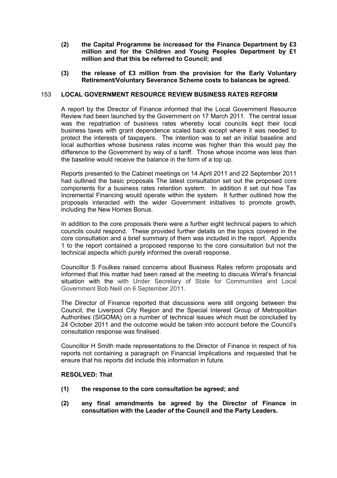- **(2) the Capital Programme be increased for the Finance Department by £3 million and for the Children and Young Peoples Department by £1 million and that this be referred to Council; and**
- **(3) the release of £3 million from the provision for the Early Voluntary Retirement/Voluntary Severance Scheme costs to balances be agreed.**

## 153 **LOCAL GOVERNMENT RESOURCE REVIEW BUSINESS RATES REFORM**

A report by the Director of Finance informed that the Local Government Resource Review had been launched by the Government on 17 March 2011. The central issue was the repatriation of business rates whereby local councils kept their local business taxes with grant dependence scaled back except where it was needed to protect the interests of taxpayers. The intention was to set an initial baseline and local authorities whose business rates income was higher than this would pay the difference to the Government by way of a tariff. Those whose income was less than the baseline would receive the balance in the form of a top up.

Reports presented to the Cabinet meetings on 14 April 2011 and 22 September 2011 had outlined the basic proposals The latest consultation set out the proposed core components for a business rates retention system. In addition it set out how Tax Incremental Financing would operate within the system. It further outlined how the proposals interacted with the wider Government initiatives to promote growth, including the New Homes Bonus.

In addition to the core proposals there were a further eight technical papers to which councils could respond. These provided further details on the topics covered in the core consultation and a brief summary of them was included in the report. Appendix 1 to the report contained a proposed response to the core consultation but not the technical aspects which purely informed the overall response.

Councillor S Foulkes raised concerns about Business Rates reform proposals and informed that this matter had been raised at the meeting to discuss Wirral's financial situation with the with Under Secretary of State for Communities and Local Government Bob Neill on 6 September 2011.

The Director of Finance reported that discussions were still ongoing between the Council, the Liverpool City Region and the Special Interest Group of Metropolitan Authorities (SIGOMA) on a number of technical issues which must be concluded by 24 October 2011 and the outcome would be taken into account before the Council's consultation response was finalised.

Councillor H Smith made representations to the Director of Finance in respect of his reports not containing a paragraph on Financial Implications and requested that he ensure that his reports did include this information in future.

- **(1) the response to the core consultation be agreed; and**
- **(2) any final amendments be agreed by the Director of Finance in consultation with the Leader of the Council and the Party Leaders.**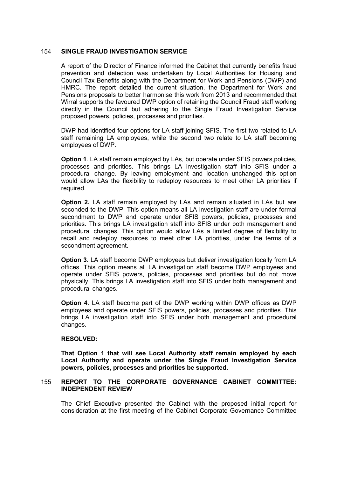# 154 **SINGLE FRAUD INVESTIGATION SERVICE**

A report of the Director of Finance informed the Cabinet that currently benefits fraud prevention and detection was undertaken by Local Authorities for Housing and Council Tax Benefits along with the Department for Work and Pensions (DWP) and HMRC. The report detailed the current situation, the Department for Work and Pensions proposals to better harmonise this work from 2013 and recommended that Wirral supports the favoured DWP option of retaining the Council Fraud staff working directly in the Council but adhering to the Single Fraud Investigation Service proposed powers, policies, processes and priorities.

DWP had identified four options for LA staff joining SFIS. The first two related to LA staff remaining LA employees, while the second two relate to LA staff becoming employees of DWP.

**Option 1.** LA staff remain employed by LAs, but operate under SFIS powers, policies, processes and priorities. This brings LA investigation staff into SFIS under a procedural change. By leaving employment and location unchanged this option would allow LAs the flexibility to redeploy resources to meet other LA priorities if required.

**Option 2.** LA staff remain employed by LAs and remain situated in LAs but are seconded to the DWP. This option means all LA investigation staff are under formal secondment to DWP and operate under SFIS powers, policies, processes and priorities. This brings LA investigation staff into SFIS under both management and procedural changes. This option would allow LAs a limited degree of flexibility to recall and redeploy resources to meet other LA priorities, under the terms of a secondment agreement.

**Option 3**. LA staff become DWP employees but deliver investigation locally from LA offices. This option means all LA investigation staff become DWP employees and operate under SFIS powers, policies, processes and priorities but do not move physically. This brings LA investigation staff into SFIS under both management and procedural changes.

**Option 4**. LA staff become part of the DWP working within DWP offices as DWP employees and operate under SFIS powers, policies, processes and priorities. This brings LA investigation staff into SFIS under both management and procedural changes.

# **RESOLVED:**

**That Option 1 that will see Local Authority staff remain employed by each Local Authority and operate under the Single Fraud Investigation Service powers, policies, processes and priorities be supported.**

# 155 **REPORT TO THE CORPORATE GOVERNANCE CABINET COMMITTEE: INDEPENDENT REVIEW**

The Chief Executive presented the Cabinet with the proposed initial report for consideration at the first meeting of the Cabinet Corporate Governance Committee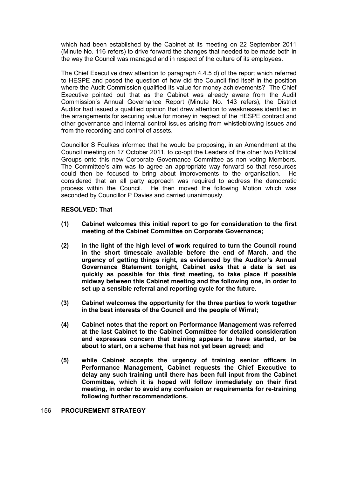which had been established by the Cabinet at its meeting on 22 September 2011 (Minute No. 116 refers) to drive forward the changes that needed to be made both in the way the Council was managed and in respect of the culture of its employees.

The Chief Executive drew attention to paragraph 4.4.5 d) of the report which referred to HESPE and posed the question of how did the Council find itself in the position where the Audit Commission qualified its value for money achievements? The Chief Executive pointed out that as the Cabinet was already aware from the Audit Commission's Annual Governance Report (Minute No. 143 refers), the District Auditor had issued a qualified opinion that drew attention to weaknesses identified in the arrangements for securing value for money in respect of the HESPE contract and other governance and internal control issues arising from whistleblowing issues and from the recording and control of assets.

Councillor S Foulkes informed that he would be proposing, in an Amendment at the Council meeting on 17 October 2011, to co-opt the Leaders of the other two Political Groups onto this new Corporate Governance Committee as non voting Members. The Committee's aim was to agree an appropriate way forward so that resources could then be focused to bring about improvements to the organisation. considered that an all party approach was required to address the democratic process within the Council. He then moved the following Motion which was seconded by Councillor P Davies and carried unanimously.

# **RESOLVED: That**

- **(1) Cabinet welcomes this initial report to go for consideration to the first meeting of the Cabinet Committee on Corporate Governance;**
- **(2) in the light of the high level of work required to turn the Council round in the short timescale available before the end of March, and the urgency of getting things right, as evidenced by the Auditor's Annual Governance Statement tonight, Cabinet asks that a date is set as quickly as possible for this first meeting, to take place if possible midway between this Cabinet meeting and the following one, in order to set up a sensible referral and reporting cycle for the future.**
- **(3) Cabinet welcomes the opportunity for the three parties to work together in the best interests of the Council and the people of Wirral;**
- **(4) Cabinet notes that the report on Performance Management was referred at the last Cabinet to the Cabinet Committee for detailed consideration and expresses concern that training appears to have started, or be about to start, on a scheme that has not yet been agreed; and**
- **(5) while Cabinet accepts the urgency of training senior officers in Performance Management, Cabinet requests the Chief Executive to delay any such training until there has been full input from the Cabinet Committee, which it is hoped will follow immediately on their first meeting, in order to avoid any confusion or requirements for re-training following further recommendations.**

#### 156 **PROCUREMENT STRATEGY**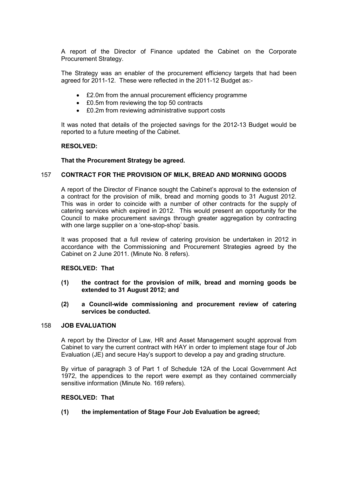A report of the Director of Finance updated the Cabinet on the Corporate Procurement Strategy.

The Strategy was an enabler of the procurement efficiency targets that had been agreed for 2011-12. These were reflected in the 2011-12 Budget as:-

- £2.0m from the annual procurement efficiency programme
- £0.5m from reviewing the top 50 contracts
- £0.2m from reviewing administrative support costs

It was noted that details of the projected savings for the 2012-13 Budget would be reported to a future meeting of the Cabinet.

# **RESOLVED:**

#### **That the Procurement Strategy be agreed.**

# 157 **CONTRACT FOR THE PROVISION OF MILK, BREAD AND MORNING GOODS**

A report of the Director of Finance sought the Cabinet's approval to the extension of a contract for the provision of milk, bread and morning goods to 31 August 2012. This was in order to coincide with a number of other contracts for the supply of catering services which expired in 2012. This would present an opportunity for the Council to make procurement savings through greater aggregation by contracting with one large supplier on a 'one-stop-shop' basis.

It was proposed that a full review of catering provision be undertaken in 2012 in accordance with the Commissioning and Procurement Strategies agreed by the Cabinet on 2 June 2011. (Minute No. 8 refers).

#### **RESOLVED: That**

- **(1) the contract for the provision of milk, bread and morning goods be extended to 31 August 2012; and**
- **(2) a Council-wide commissioning and procurement review of catering services be conducted.**

#### 158 **JOB EVALUATION**

A report by the Director of Law, HR and Asset Management sought approval from Cabinet to vary the current contract with HAY in order to implement stage four of Job Evaluation (JE) and secure Hay's support to develop a pay and grading structure.

By virtue of paragraph 3 of Part 1 of Schedule 12A of the Local Government Act 1972, the appendices to the report were exempt as they contained commercially sensitive information (Minute No. 169 refers).

#### **RESOLVED: That**

**(1) the implementation of Stage Four Job Evaluation be agreed;**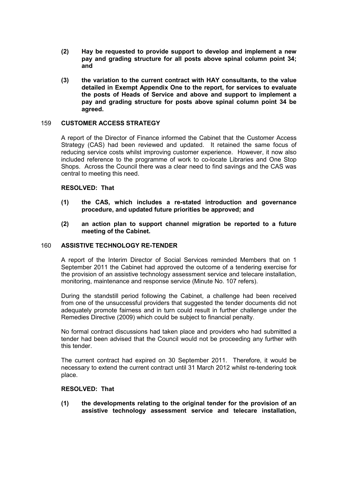- **(2) Hay be requested to provide support to develop and implement a new pay and grading structure for all posts above spinal column point 34; and**
- **(3) the variation to the current contract with HAY consultants, to the value detailed in Exempt Appendix One to the report, for services to evaluate the posts of Heads of Service and above and support to implement a pay and grading structure for posts above spinal column point 34 be agreed.**

# 159 **CUSTOMER ACCESS STRATEGY**

A report of the Director of Finance informed the Cabinet that the Customer Access Strategy (CAS) had been reviewed and updated. It retained the same focus of reducing service costs whilst improving customer experience. However, it now also included reference to the programme of work to co-locate Libraries and One Stop Shops. Across the Council there was a clear need to find savings and the CAS was central to meeting this need.

# **RESOLVED: That**

- **(1) the CAS, which includes a re-stated introduction and governance procedure, and updated future priorities be approved; and**
- **(2) an action plan to support channel migration be reported to a future meeting of the Cabinet.**

# 160 **ASSISTIVE TECHNOLOGY RE-TENDER**

A report of the Interim Director of Social Services reminded Members that on 1 September 2011 the Cabinet had approved the outcome of a tendering exercise for the provision of an assistive technology assessment service and telecare installation, monitoring, maintenance and response service (Minute No. 107 refers).

During the standstill period following the Cabinet, a challenge had been received from one of the unsuccessful providers that suggested the tender documents did not adequately promote fairness and in turn could result in further challenge under the Remedies Directive (2009) which could be subject to financial penalty.

No formal contract discussions had taken place and providers who had submitted a tender had been advised that the Council would not be proceeding any further with this tender.

The current contract had expired on 30 September 2011. Therefore, it would be necessary to extend the current contract until 31 March 2012 whilst re-tendering took place.

#### **RESOLVED: That**

**(1) the developments relating to the original tender for the provision of an assistive technology assessment service and telecare installation,**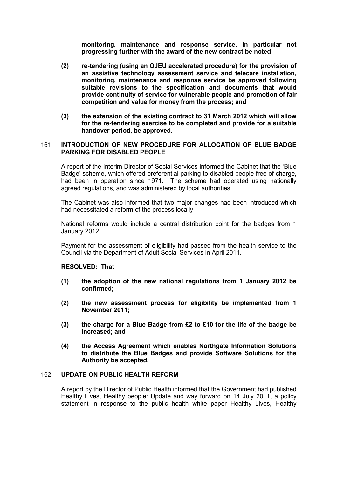**monitoring, maintenance and response service, in particular not progressing further with the award of the new contract be noted;** 

- **(2) re-tendering (using an OJEU accelerated procedure) for the provision of an assistive technology assessment service and telecare installation, monitoring, maintenance and response service be approved following suitable revisions to the specification and documents that would provide continuity of service for vulnerable people and promotion of fair competition and value for money from the process; and**
- **(3) the extension of the existing contract to 31 March 2012 which will allow for the re-tendering exercise to be completed and provide for a suitable handover period, be approved.**

# 161 **INTRODUCTION OF NEW PROCEDURE FOR ALLOCATION OF BLUE BADGE PARKING FOR DISABLED PEOPLE**

A report of the Interim Director of Social Services informed the Cabinet that the 'Blue Badge' scheme, which offered preferential parking to disabled people free of charge, had been in operation since 1971. The scheme had operated using nationally agreed regulations, and was administered by local authorities.

The Cabinet was also informed that two major changes had been introduced which had necessitated a reform of the process locally.

National reforms would include a central distribution point for the badges from 1 January 2012.

Payment for the assessment of eligibility had passed from the health service to the Council via the Department of Adult Social Services in April 2011.

#### **RESOLVED: That**

- **(1) the adoption of the new national regulations from 1 January 2012 be confirmed;**
- **(2) the new assessment process for eligibility be implemented from 1 November 2011;**
- **(3) the charge for a Blue Badge from £2 to £10 for the life of the badge be increased; and**
- **(4) the Access Agreement which enables Northgate Information Solutions to distribute the Blue Badges and provide Software Solutions for the Authority be accepted.**

#### 162 **UPDATE ON PUBLIC HEALTH REFORM**

A report by the Director of Public Health informed that the Government had published Healthy Lives, Healthy people: Update and way forward on 14 July 2011, a policy statement in response to the public health white paper Healthy Lives, Healthy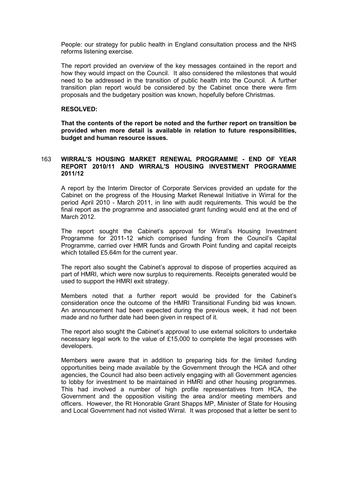People: our strategy for public health in England consultation process and the NHS reforms listening exercise.

The report provided an overview of the key messages contained in the report and how they would impact on the Council. It also considered the milestones that would need to be addressed in the transition of public health into the Council. A further transition plan report would be considered by the Cabinet once there were firm proposals and the budgetary position was known, hopefully before Christmas.

# **RESOLVED:**

**That the contents of the report be noted and the further report on transition be provided when more detail is available in relation to future responsibilities, budget and human resource issues.** 

# 163 **WIRRAL'S HOUSING MARKET RENEWAL PROGRAMME - END OF YEAR REPORT 2010/11 AND WIRRAL'S HOUSING INVESTMENT PROGRAMME 2011/12**

A report by the Interim Director of Corporate Services provided an update for the Cabinet on the progress of the Housing Market Renewal Initiative in Wirral for the period April 2010 - March 2011, in line with audit requirements. This would be the final report as the programme and associated grant funding would end at the end of March 2012.

The report sought the Cabinet's approval for Wirral's Housing Investment Programme for 2011-12 which comprised funding from the Council's Capital Programme, carried over HMR funds and Growth Point funding and capital receipts which totalled £5.64m for the current year.

The report also sought the Cabinet's approval to dispose of properties acquired as part of HMRI, which were now surplus to requirements. Receipts generated would be used to support the HMRI exit strategy.

Members noted that a further report would be provided for the Cabinet's consideration once the outcome of the HMRI Transitional Funding bid was known. An announcement had been expected during the previous week, it had not been made and no further date had been given in respect of it.

The report also sought the Cabinet's approval to use external solicitors to undertake necessary legal work to the value of £15,000 to complete the legal processes with developers.

Members were aware that in addition to preparing bids for the limited funding opportunities being made available by the Government through the HCA and other agencies, the Council had also been actively engaging with all Government agencies to lobby for investment to be maintained in HMRI and other housing programmes. This had involved a number of high profile representatives from HCA, the Government and the opposition visiting the area and/or meeting members and officers. However, the Rt Honorable Grant Shapps MP, Minister of State for Housing and Local Government had not visited Wirral. It was proposed that a letter be sent to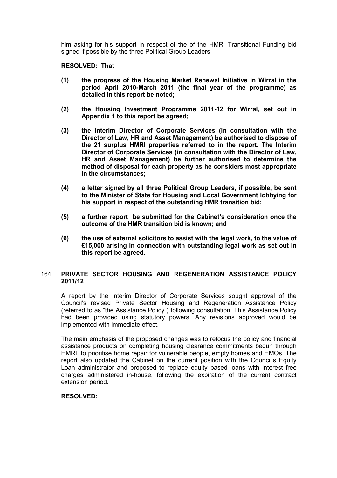him asking for his support in respect of the of the HMRI Transitional Funding bid signed if possible by the three Political Group Leaders

**RESOLVED: That** 

- **(1) the progress of the Housing Market Renewal Initiative in Wirral in the period April 2010-March 2011 (the final year of the programme) as detailed in this report be noted;**
- **(2) the Housing Investment Programme 2011-12 for Wirral, set out in Appendix 1 to this report be agreed;**
- **(3) the Interim Director of Corporate Services (in consultation with the Director of Law, HR and Asset Management) be authorised to dispose of the 21 surplus HMRI properties referred to in the report. The Interim Director of Corporate Services (in consultation with the Director of Law, HR and Asset Management) be further authorised to determine the method of disposal for each property as he considers most appropriate in the circumstances;**
- **(4) a letter signed by all three Political Group Leaders, if possible, be sent to the Minister of State for Housing and Local Government lobbying for his support in respect of the outstanding HMR transition bid;**
- **(5) a further report be submitted for the Cabinet's consideration once the outcome of the HMR transition bid is known; and**
- **(6) the use of external solicitors to assist with the legal work, to the value of £15,000 arising in connection with outstanding legal work as set out in this report be agreed.**

# 164 **PRIVATE SECTOR HOUSING AND REGENERATION ASSISTANCE POLICY 2011/12**

A report by the Interim Director of Corporate Services sought approval of the Council's revised Private Sector Housing and Regeneration Assistance Policy (referred to as "the Assistance Policy") following consultation. This Assistance Policy had been provided using statutory powers. Any revisions approved would be implemented with immediate effect.

The main emphasis of the proposed changes was to refocus the policy and financial assistance products on completing housing clearance commitments begun through HMRI, to prioritise home repair for vulnerable people, empty homes and HMOs. The report also updated the Cabinet on the current position with the Council's Equity Loan administrator and proposed to replace equity based loans with interest free charges administered in-house, following the expiration of the current contract extension period.

# **RESOLVED:**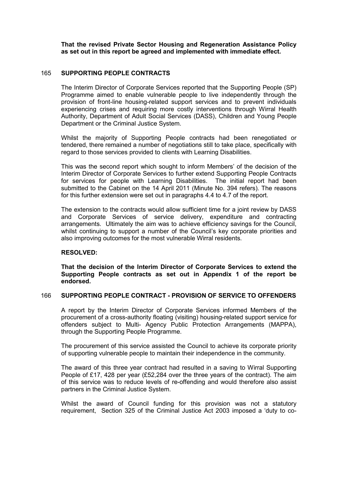**That the revised Private Sector Housing and Regeneration Assistance Policy as set out in this report be agreed and implemented with immediate effect.** 

# 165 **SUPPORTING PEOPLE CONTRACTS**

The Interim Director of Corporate Services reported that the Supporting People (SP) Programme aimed to enable vulnerable people to live independently through the provision of front-line housing-related support services and to prevent individuals experiencing crises and requiring more costly interventions through Wirral Health Authority, Department of Adult Social Services (DASS), Children and Young People Department or the Criminal Justice System.

Whilst the majority of Supporting People contracts had been renegotiated or tendered, there remained a number of negotiations still to take place, specifically with regard to those services provided to clients with Learning Disabilities.

This was the second report which sought to inform Members' of the decision of the Interim Director of Corporate Services to further extend Supporting People Contracts for services for people with Learning Disabilities. The initial report had been submitted to the Cabinet on the 14 April 2011 (Minute No. 394 refers). The reasons for this further extension were set out in paragraphs 4.4 to 4.7 of the report.

The extension to the contracts would allow sufficient time for a joint review by DASS and Corporate Services of service delivery, expenditure and contracting arrangements. Ultimately the aim was to achieve efficiency savings for the Council, whilst continuing to support a number of the Council's key corporate priorities and also improving outcomes for the most vulnerable Wirral residents.

# **RESOLVED:**

**That the decision of the Interim Director of Corporate Services to extend the Supporting People contracts as set out in Appendix 1 of the report be endorsed.** 

#### 166 **SUPPORTING PEOPLE CONTRACT - PROVISION OF SERVICE TO OFFENDERS**

A report by the Interim Director of Corporate Services informed Members of the procurement of a cross-authority floating (visiting) housing-related support service for offenders subject to Multi- Agency Public Protection Arrangements (MAPPA), through the Supporting People Programme.

The procurement of this service assisted the Council to achieve its corporate priority of supporting vulnerable people to maintain their independence in the community.

The award of this three year contract had resulted in a saving to Wirral Supporting People of £17, 428 per year (£52,284 over the three years of the contract). The aim of this service was to reduce levels of re-offending and would therefore also assist partners in the Criminal Justice System.

Whilst the award of Council funding for this provision was not a statutory requirement, Section 325 of the Criminal Justice Act 2003 imposed a 'duty to co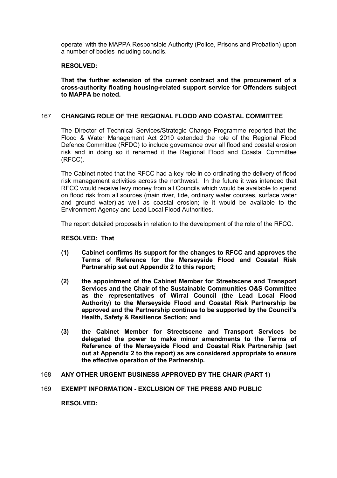operate' with the MAPPA Responsible Authority (Police, Prisons and Probation) upon a number of bodies including councils.

# **RESOLVED:**

**That the further extension of the current contract and the procurement of a cross-authority floating housing-related support service for Offenders subject to MAPPA be noted.** 

#### 167 **CHANGING ROLE OF THE REGIONAL FLOOD AND COASTAL COMMITTEE**

The Director of Technical Services/Strategic Change Programme reported that the Flood & Water Management Act 2010 extended the role of the Regional Flood Defence Committee (RFDC) to include governance over all flood and coastal erosion risk and in doing so it renamed it the Regional Flood and Coastal Committee (RFCC).

The Cabinet noted that the RFCC had a key role in co-ordinating the delivery of flood risk management activities across the northwest. In the future it was intended that RFCC would receive levy money from all Councils which would be available to spend on flood risk from all sources (main river, tide, ordinary water courses, surface water and ground water) as well as coastal erosion; ie it would be available to the Environment Agency and Lead Local Flood Authorities.

The report detailed proposals in relation to the development of the role of the RFCC.

#### **RESOLVED: That**

- **(1) Cabinet confirms its support for the changes to RFCC and approves the Terms of Reference for the Merseyside Flood and Coastal Risk Partnership set out Appendix 2 to this report;**
- **(2) the appointment of the Cabinet Member for Streetscene and Transport Services and the Chair of the Sustainable Communities O&S Committee as the representatives of Wirral Council (the Lead Local Flood Authority) to the Merseyside Flood and Coastal Risk Partnership be approved and the Partnership continue to be supported by the Council's Health, Safety & Resilience Section; and**
- **(3) the Cabinet Member for Streetscene and Transport Services be delegated the power to make minor amendments to the Terms of Reference of the Merseyside Flood and Coastal Risk Partnership (set out at Appendix 2 to the report) as are considered appropriate to ensure the effective operation of the Partnership.**

#### 168 **ANY OTHER URGENT BUSINESS APPROVED BY THE CHAIR (PART 1)**

169 **EXEMPT INFORMATION - EXCLUSION OF THE PRESS AND PUBLIC** 

**RESOLVED:**